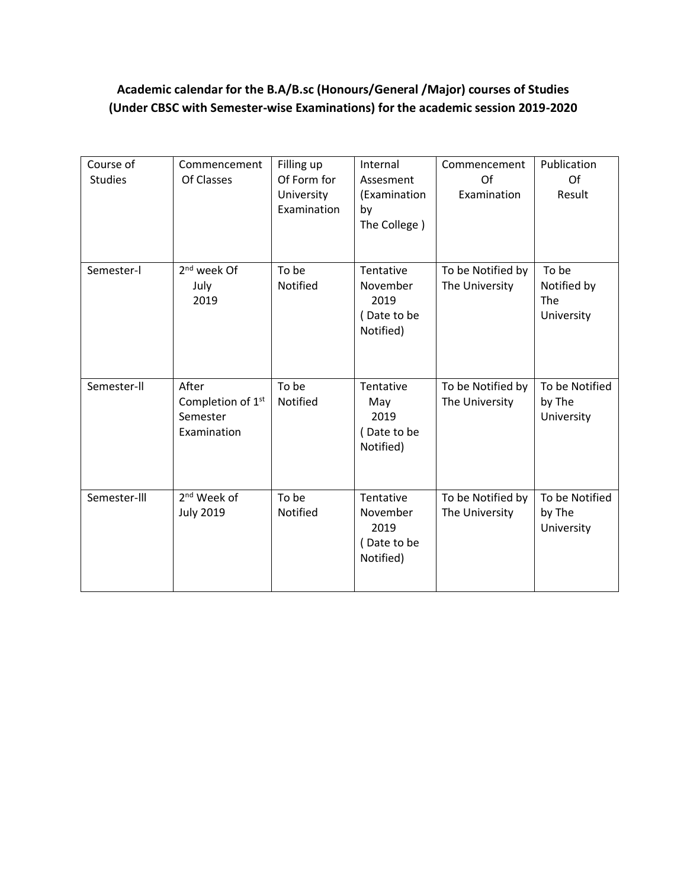## **Academic calendar for the B.A/B.sc (Honours/General /Major) courses of Studies (Under CBSC with Semester-wise Examinations) for the academic session 2019-2020**

| Course of<br><b>Studies</b> | Commencement<br>Of Classes                                        | Filling up<br>Of Form for<br>University<br>Examination | Internal<br>Assesment<br>(Examination<br>by<br>The College) | Commencement<br>Of<br>Examination   | Publication<br>Of<br>Result               |
|-----------------------------|-------------------------------------------------------------------|--------------------------------------------------------|-------------------------------------------------------------|-------------------------------------|-------------------------------------------|
| Semester-I                  | 2 <sup>nd</sup> week Of<br>July<br>2019                           | To be<br>Notified                                      | Tentative<br>November<br>2019<br>(Date to be<br>Notified)   | To be Notified by<br>The University | To be<br>Notified by<br>The<br>University |
| Semester-II                 | After<br>Completion of 1 <sup>st</sup><br>Semester<br>Examination | To be<br>Notified                                      | Tentative<br>May<br>2019<br>(Date to be<br>Notified)        | To be Notified by<br>The University | To be Notified<br>by The<br>University    |
| Semester-III                | 2 <sup>nd</sup> Week of<br><b>July 2019</b>                       | To be<br>Notified                                      | Tentative<br>November<br>2019<br>(Date to be<br>Notified)   | To be Notified by<br>The University | To be Notified<br>by The<br>University    |